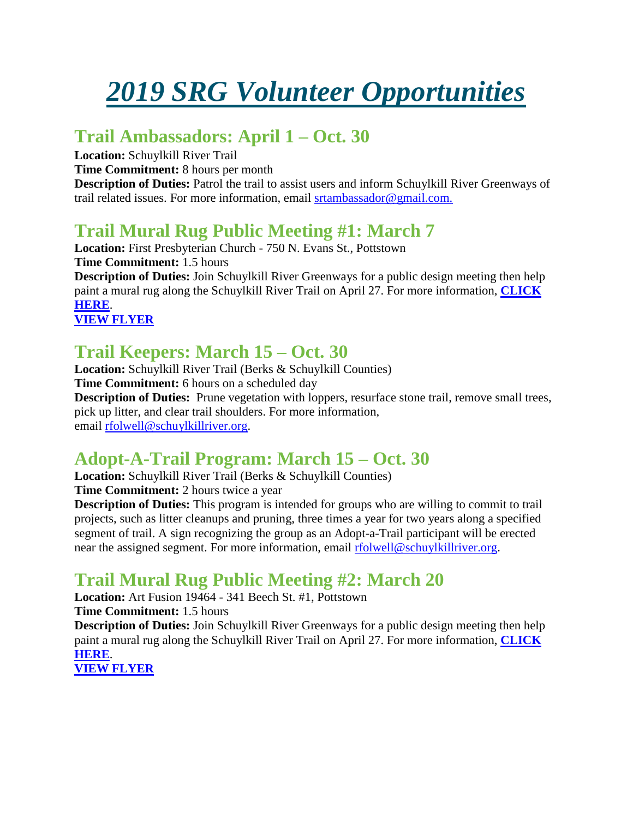# *2019 SRG Volunteer Opportunities*

### **Trail Ambassadors: April 1 – Oct. 30**

**Location:** Schuylkill River Trail

**Time Commitment:** 8 hours per month

**Description of Duties:** Patrol the trail to assist users and inform Schuylkill River Greenways of trail related issues. For more information, email [srtambassador@gmail.com.](mailto:srtambassador@gmail.com)

# **Trail Mural Rug Public Meeting #1: March 7**

**Location:** First Presbyterian Church - 750 N. Evans St., Pottstown **Time Commitment:** 1.5 hours **Description of Duties:** Join Schuylkill River Greenways for a public design meeting then help paint a mural rug along the Schuylkill River Trail on April 27. For more information, **[CLICK](https://schuylkillriver.org/events/trail-mural-public-meeting-1/)  [HERE](https://schuylkillriver.org/events/trail-mural-public-meeting-1/)**.

**[VIEW FLYER](https://schuylkillriver.org/wp-content/uploads/2019/02/SRT-mural-4-compressed.pdf)**

### **Trail Keepers: March 15 – Oct. 30**

**Location:** Schuylkill River Trail (Berks & Schuylkill Counties) **Time Commitment:** 6 hours on a scheduled day **Description of Duties:** Prune vegetation with loppers, resurface stone trail, remove small trees, pick up litter, and clear trail shoulders. For more information, email [rfolwell@schuylkillriver.org.](mailto:rfolwell@schuylkillriver.org)

### **Adopt-A-Trail Program: March 15 – Oct. 30**

**Location:** Schuylkill River Trail (Berks & Schuylkill Counties) **Time Commitment:** 2 hours twice a year

**Description of Duties:** This program is intended for groups who are willing to commit to trail projects, such as litter cleanups and pruning, three times a year for two years along a specified segment of trail. A sign recognizing the group as an Adopt-a-Trail participant will be erected near the assigned segment. For more information, email [rfolwell@schuylkillriver.org.](mailto:rfolwell@schuylkillriver.org)

# **Trail Mural Rug Public Meeting #2: March 20**

**Location:** Art Fusion 19464 - 341 Beech St. #1, Pottstown

**Time Commitment:** 1.5 hours

**Description of Duties:** Join Schuylkill River Greenways for a public design meeting then help paint a mural rug along the Schuylkill River Trail on April 27. For more information, **[CLICK](https://schuylkillriver.org/events/trail-mural-public-meeting-2/)  [HERE](https://schuylkillriver.org/events/trail-mural-public-meeting-2/)**.

**[VIEW FLYER](https://schuylkillriver.org/wp-content/uploads/2019/02/SRT-mural-4-compressed.pdf)**